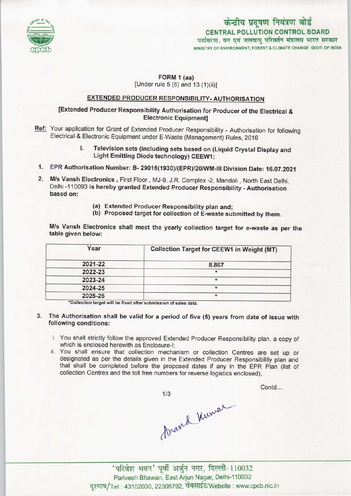

# केन्द्रीय प्रदूषण नियंत्रण बोर्ड CENTRAL POLLUTION CONTROL BOARD<br>पर्यावरण, वन एवं जलवायु परिवर्तन मंत्रालय भारत सरकार MINISTRY OF ENVIRONMENT, FOREST & CLIMATE CHANGE GOVT. OF INDIA

### FORM 1 (aa) [Under rule  $5(6)$  and  $13(1)(ii)$ ]

## EXTENDED PRODUCER RESPONSIBILITY- AUTHORISATION

## [Extended Producer Responsibility Authorisation for Producer of the Electrical & Electronic Equipment]

Ref: Your application for Grant of Extended Producer Responsibility - Authorisation for following Electrical & Electronic Equipment under E-Waste (Management) Rules, 2016

## I. Television sets (including sets based on (Liquid Crystal Display and Light Emitting Diode technology) CEEW1;

- 1. EPR Authorisation Number: B- 29016(1930)/(EPR)/20/WM-III Division Date: 16.07.2021
- 2. M/s Vansh Electronics, First Floor, MJ-9, J.R. Complex -2, Mandoli, North East Delhi, Delhi -110093 is hereby granted Extended Producer Responsibility - Authorisation based on:
	- (a)Extended Producer Responsibility plan and;
	- (b) Proposed target for collection of E-waste submitted by them.

M/s Vansh Electronics shall meet the yearly collection target for e-waste as per the table given below:

| Year    | <b>Collection Target for CEEW1 in Weight (MT)</b> |
|---------|---------------------------------------------------|
| 2021-22 | 8.867                                             |
| 2022-23 | $\star$                                           |
| 2023-24 |                                                   |
| 2024-25 |                                                   |
| 2025-26 |                                                   |

\*Collection target will be fixed after submission of sales data.

- 3. The Authorisation shall be valid for a period of five (5) years from date of issue with following conditions:
	- i. You shall strictly follow the approved Extended Producer Responsibility plan, a copy of which is enclosed herewith as Enclosure-I;
	- ii. You shall ensure that collection mechanism or collection Centres are set up or designated as per the details given in the Extended Producer Responsibility plan and that shall be completed before the proposed dates if any in the EPR Plan {list of collection Centres and the toll free numbers for reverse logistics enclosed);

 $1/3$ 

Contd...

thand Kuman

' परिवेश भवन' पूर्वी अर्जुन नगर, दिल्ली-110032 Parivesh Bhawan, East Arjun Nagar, Delhi-110032 दूरभाष/Tel: 43102030, 22305792, वेबसाईट/Website : www.cpcb.nic.in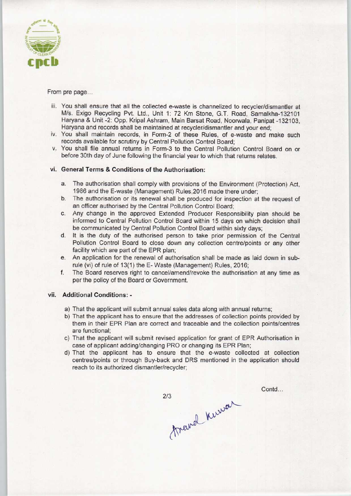

#### From pre page...

- iii. You shall ensure that all the collected e-waste is channelized to recycler/dismantler at M/s. Exigo Recycling Pvt. Ltd., Unit 1: 72 Km Stone, G.T. Road, Samalkha-132101 Haryana & Unit -2: Opp. Kripal Ashram, Main Barsat Road, Noorwala, Panipat -132103, Haryana and records shall be maintained at recycler/dismantler and your end;
- iv. You shall maintain records, in Form-2 of these Rules, of e-waste and make such records available for scrutiny by Central Pollution Control Board;
- y. You shall file annual returns in Form-3 to the Central Pollution Control Board on or before 30th day of June following the financial year to which that returns relates.

#### vi. General Terms & Conditions of the Authorisation:

- a.The authorisation shall comply with provisions of the Environment (Protection) Act, 1986 and the E-waste (Management) Rules,2016 made there under;
- b.The authorisation or its renewal shall be produced for inspection at the request of an officer authorised by the Central Pollution Control Board;
- c.Any change in the approved Extended Producer Responsibility plan should be informed to Central Pollution Control Board within 15 days on which decision shall be communicated by Central Pollution Control Board within sixty days;
- d. It is the duty of the authorised person to take prior permission of the Central Pollution Control Board to close down any collection centre/points or any other facility which are part of the EPR plan;
- e.An application for the renewal of authorisation shall be made as laid down in subrule (vi) of rule of 13(1) the E-Waste (Management) Rules, 2016;
- f. The Board reserves right to cancel/amend/revoke the authorisation at any time as perthe policy of the Board or Government.

#### vii. Additional Conditions: -

- a) That the applicant will submit annual sales data along with annual returns;
- b) That the applicant has to ensure that the addresses of collection points provided by them in their EPR Plan are correct and traceable and the collection points/centres are functional;
- c) That the applicant will submit revised application for grant of EPR Authorisation in case of applicant adding/changing PRO or changing its EPR Plan;
- d)That the applicant has to ensure that the e-waste collected at collection centres/points or through Buy-back and DRS mentioned in the application should reach to its authorized dismantler/recycler;

 $2/3$ 

travel knewar

Contd...